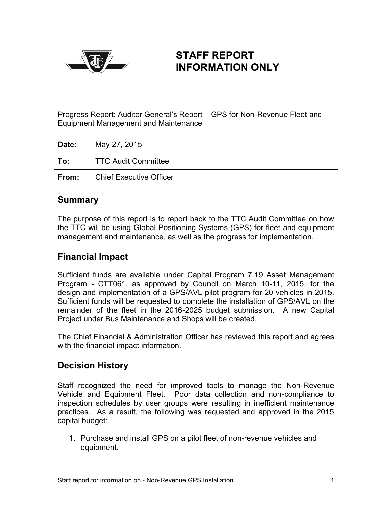

# **STAFF REPORT INFORMATION ONLY**

Progress Report: Auditor General's Report – GPS for Non-Revenue Fleet and Equipment Management and Maintenance

| Date: | May 27, 2015                   |
|-------|--------------------------------|
| To:   | TTC Audit Committee            |
| From: | <b>Chief Executive Officer</b> |

#### **Summary**

The purpose of this report is to report back to the TTC Audit Committee on how the TTC will be using Global Positioning Systems (GPS) for fleet and equipment management and maintenance, as well as the progress for implementation.

## **Financial Impact**

Sufficient funds are available under Capital Program 7.19 Asset Management Program - CTT061, as approved by Council on March 10-11, 2015, for the design and implementation of a GPS/AVL pilot program for 20 vehicles in 2015. Sufficient funds will be requested to complete the installation of GPS/AVL on the remainder of the fleet in the 2016-2025 budget submission. A new Capital Project under Bus Maintenance and Shops will be created.

The Chief Financial & Administration Officer has reviewed this report and agrees with the financial impact information.

### **Decision History**

Staff recognized the need for improved tools to manage the Non-Revenue Vehicle and Equipment Fleet. Poor data collection and non-compliance to inspection schedules by user groups were resulting in inefficient maintenance practices. As a result, the following was requested and approved in the 2015 capital budget:

1. Purchase and install GPS on a pilot fleet of non-revenue vehicles and equipment.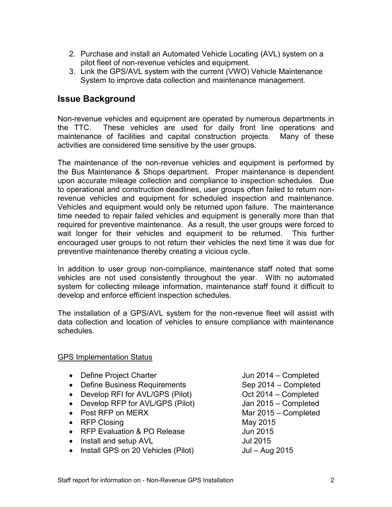- 2. Purchase and install an Automated Vehicle Locating (AVL) system on a pilot fleet of non-revenue vehicles and equipment.
- 3. Link the GPS/AVL system with the current (VWO) Vehicle Maintenance System to improve data collection and maintenance management.

#### **Issue Background**

Non-revenue vehicles and equipment are operated by numerous departments in the TTC. These vehicles are used for daily front line operations and maintenance of facilities and capital construction projects. Many of these activities are considered time sensitive by the user groups.

The maintenance of the non-revenue vehicles and equipment is performed by the Bus Maintenance & Shops department. Proper maintenance is dependent upon accurate mileage collection and compliance to inspection schedules. Due to operational and construction deadlines, user groups often failed to return nonrevenue vehicles and equipment for scheduled inspection and maintenance. Vehicles and equipment would only be returned upon failure. The maintenance time needed to repair failed vehicles and equipment is generally more than that required for preventive maintenance. As a result, the user groups were forced to wait longer for their vehicles and equipment to be returned. This further encouraged user groups to not return their vehicles the next time it was due for preventive maintenance thereby creating a vicious cycle.

In addition to user group non-compliance, maintenance staff noted that some vehicles are not used consistently throughout the year. With no automated system for collecting mileage information, maintenance staff found it difficult to develop and enforce efficient inspection schedules.

The installation of a GPS/AVL system for the non-revenue fleet will assist with data collection and location of vehicles to ensure compliance with maintenance schedules.

#### GPS Implementation Status

- Define Project Charter **Jun 2014** Completed
- Define Business Requirements Sep 2014 Completed
- Develop RFI for AVL/GPS (Pilot) 0ct 2014 Completed
- Develop RFP for AVL/GPS (Pilot) Jan 2015 Completed
- Post RFP on MERX Mar 2015 Completed
- RFP Closing May 2015
- RFP Evaluation & PO Release Jun 2015
- Install and setup AVL Jul 2015
- Install GPS on 20 Vehicles (Pilot) Jul Aug 2015